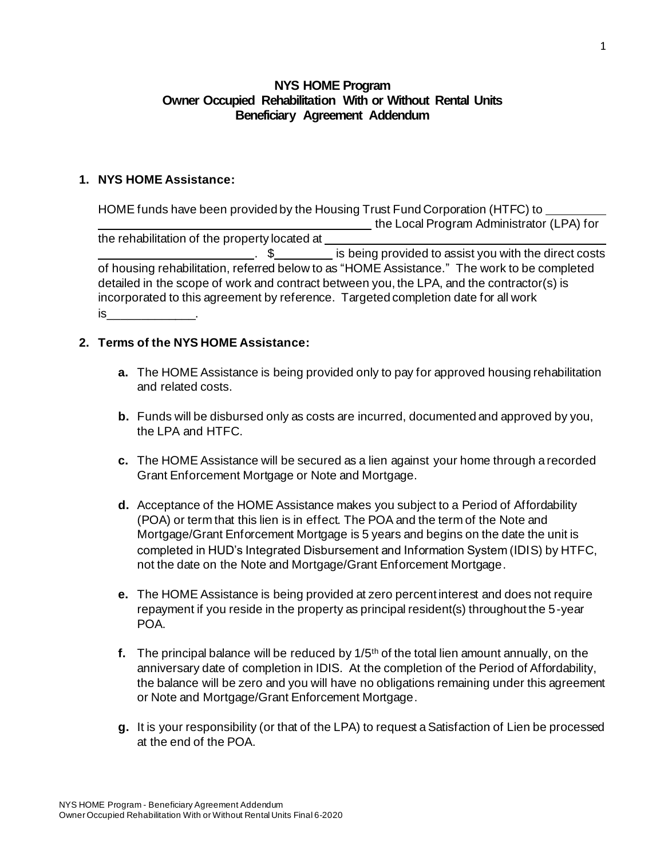## **NYS HOME Program Owner Occupied Rehabilitation With or Without Rental Units Beneficiary Agreement Addendum**

## **1. NYS HOME Assistance:**

HOME funds have been provided by the Housing Trust Fund Corporation (HTFC) to the Local Program Administrator (LPA) for the rehabilitation of the property located at . \$ is being provided to assist you with the direct costs of housing rehabilitation, referred below to as "HOME Assistance." The work to be completed detailed in the scope of work and contract between you, the LPA, and the contractor(s) is incorporated to this agreement by reference. Targeted completion date for all work  $is$ 

#### **2. Terms of the NYS HOME Assistance:**

- **a.** The HOME Assistance is being provided only to pay for approved housing rehabilitation and related costs.
- **b.** Funds will be disbursed only as costs are incurred, documented and approved by you, the LPA and HTFC.
- **c.** The HOME Assistance will be secured as a lien against your home through a recorded Grant Enforcement Mortgage or Note and Mortgage.
- **d.** Acceptance of the HOME Assistance makes you subject to a Period of Affordability (POA) or term that this lien is in effect. The POA and the term of the Note and Mortgage/Grant Enforcement Mortgage is 5 years and begins on the date the unit is completed in HUD's Integrated Disbursement and Information System (IDIS) by HTFC, not the date on the Note and Mortgage/Grant Enforcement Mortgage.
- **e.** The HOME Assistance is being provided at zero percent interest and does not require repayment if you reside in the property as principal resident(s) throughout the 5-year POA.
- **f.** The principal balance will be reduced by 1/5th of the total lien amount annually, on the anniversary date of completion in IDIS. At the completion of the Period of Affordability, the balance will be zero and you will have no obligations remaining under this agreement or Note and Mortgage/Grant Enforcement Mortgage.
- **g.** It is your responsibility (or that of the LPA) to request a Satisfaction of Lien be processed at the end of the POA.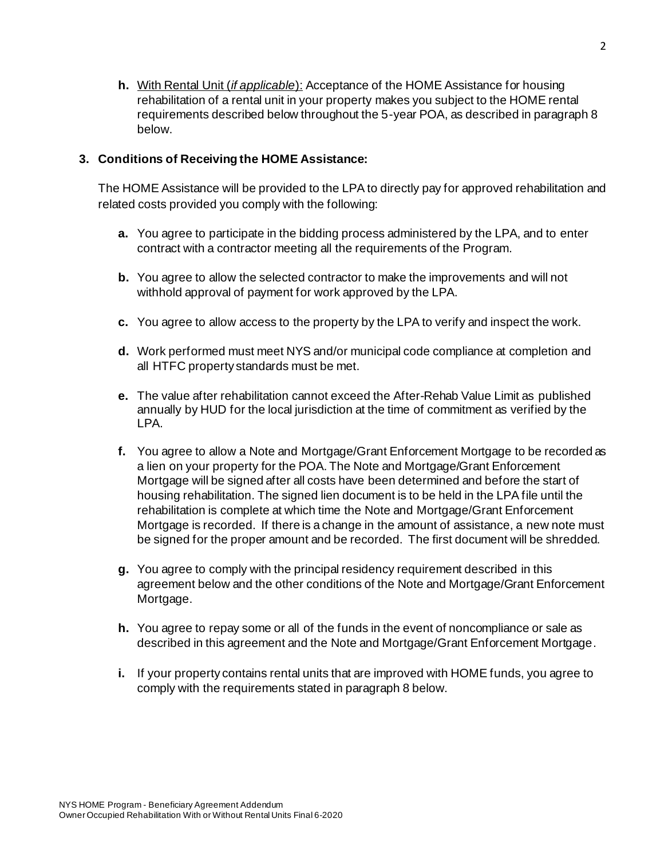**h.** With Rental Unit (*if applicable*): Acceptance of the HOME Assistance for housing rehabilitation of a rental unit in your property makes you subject to the HOME rental requirements described below throughout the 5-year POA, as described in paragraph 8 below.

# **3. Conditions of Receiving the HOME Assistance:**

The HOME Assistance will be provided to the LPA to directly pay for approved rehabilitation and related costs provided you comply with the following:

- **a.** You agree to participate in the bidding process administered by the LPA, and to enter contract with a contractor meeting all the requirements of the Program.
- **b.** You agree to allow the selected contractor to make the improvements and will not withhold approval of payment for work approved by the LPA.
- **c.** You agree to allow access to the property by the LPA to verify and inspect the work.
- **d.** Work performed must meet NYS and/or municipal code compliance at completion and all HTFC property standards must be met.
- **e.** The value after rehabilitation cannot exceed the After-Rehab Value Limit as published annually by HUD for the local jurisdiction at the time of commitment as verified by the LPA.
- **f.** You agree to allow a Note and Mortgage/Grant Enforcement Mortgage to be recorded as a lien on your property for the POA. The Note and Mortgage/Grant Enforcement Mortgage will be signed after all costs have been determined and before the start of housing rehabilitation. The signed lien document is to be held in the LPA file until the rehabilitation is complete at which time the Note and Mortgage/Grant Enforcement Mortgage is recorded. If there is a change in the amount of assistance, a new note must be signed for the proper amount and be recorded. The first document will be shredded.
- **g.** You agree to comply with the principal residency requirement described in this agreement below and the other conditions of the Note and Mortgage/Grant Enforcement Mortgage.
- **h.** You agree to repay some or all of the funds in the event of noncompliance or sale as described in this agreement and the Note and Mortgage/Grant Enforcement Mortgage.
- **i.** If your property contains rental units that are improved with HOME funds, you agree to comply with the requirements stated in paragraph 8 below.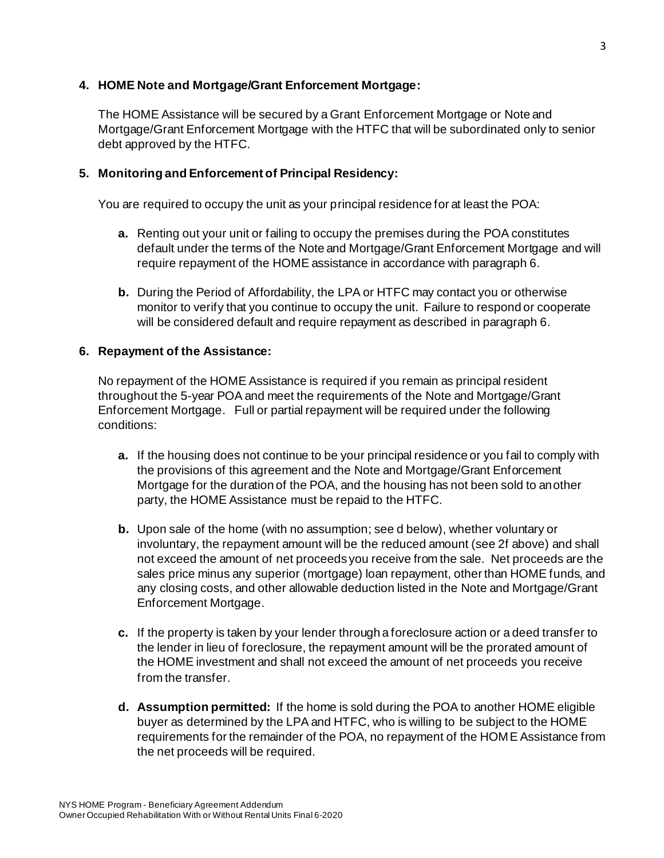### **4. HOME Note and Mortgage/Grant Enforcement Mortgage:**

The HOME Assistance will be secured by a Grant Enforcement Mortgage or Note and Mortgage/Grant Enforcement Mortgage with the HTFC that will be subordinated only to senior debt approved by the HTFC.

# **5. Monitoring and Enforcement of Principal Residency:**

You are required to occupy the unit as your principal residence for at least the POA:

- **a.** Renting out your unit or failing to occupy the premises during the POA constitutes default under the terms of the Note and Mortgage/Grant Enforcement Mortgage and will require repayment of the HOME assistance in accordance with paragraph 6.
- **b.** During the Period of Affordability, the LPA or HTFC may contact you or otherwise monitor to verify that you continue to occupy the unit. Failure to respond or cooperate will be considered default and require repayment as described in paragraph 6.

# **6. Repayment of the Assistance:**

No repayment of the HOME Assistance is required if you remain as principal resident throughout the 5-year POA and meet the requirements of the Note and Mortgage/Grant Enforcement Mortgage. Full or partial repayment will be required under the following conditions:

- **a.** If the housing does not continue to be your principal residence or you fail to comply with the provisions of this agreement and the Note and Mortgage/Grant Enforcement Mortgage for the duration of the POA, and the housing has not been sold to another party, the HOME Assistance must be repaid to the HTFC.
- **b.** Upon sale of the home (with no assumption; see d below), whether voluntary or involuntary, the repayment amount will be the reduced amount (see 2f above) and shall not exceed the amount of net proceeds you receive from the sale. Net proceeds are the sales price minus any superior (mortgage) loan repayment, other than HOME funds, and any closing costs, and other allowable deduction listed in the Note and Mortgage/Grant Enforcement Mortgage.
- **c.** If the property is taken by your lender through a foreclosure action or a deed transfer to the lender in lieu of foreclosure, the repayment amount will be the prorated amount of the HOME investment and shall not exceed the amount of net proceeds you receive from the transfer.
- **d. Assumption permitted:** If the home is sold during the POA to another HOME eligible buyer as determined by the LPA and HTFC, who is willing to be subject to the HOME requirements for the remainder of the POA, no repayment of the HOME Assistance from the net proceeds will be required.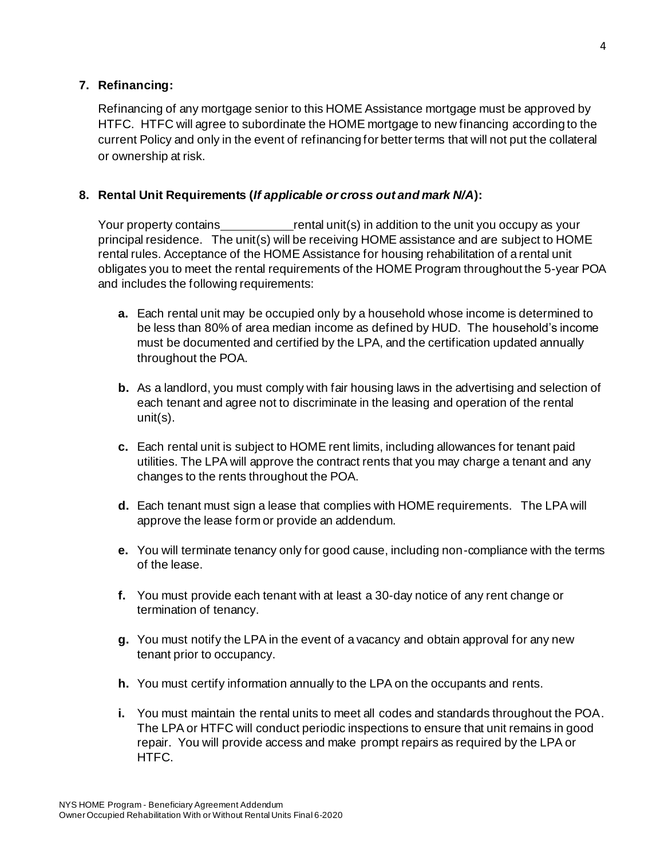# **7. Refinancing:**

Refinancing of any mortgage senior to this HOME Assistance mortgage must be approved by HTFC. HTFC will agree to subordinate the HOME mortgage to new financing according to the current Policy and only in the event of refinancing for better terms that will not put the collateral or ownership at risk.

## **8. Rental Unit Requirements (***If applicable or cross out and mark N/A***):**

Your property contains rental unit(s) in addition to the unit you occupy as your principal residence. The unit(s) will be receiving HOME assistance and are subject to HOME rental rules. Acceptance of the HOME Assistance for housing rehabilitation of a rental unit obligates you to meet the rental requirements of the HOME Program throughout the 5-year POA and includes the following requirements:

- **a.** Each rental unit may be occupied only by a household whose income is determined to be less than 80% of area median income as defined by HUD. The household's income must be documented and certified by the LPA, and the certification updated annually throughout the POA.
- **b.** As a landlord, you must comply with fair housing laws in the advertising and selection of each tenant and agree not to discriminate in the leasing and operation of the rental unit(s).
- **c.** Each rental unit is subject to HOME rent limits, including allowances for tenant paid utilities. The LPA will approve the contract rents that you may charge a tenant and any changes to the rents throughout the POA.
- **d.** Each tenant must sign a lease that complies with HOME requirements. The LPA will approve the lease form or provide an addendum.
- **e.** You will terminate tenancy only for good cause, including non-compliance with the terms of the lease.
- **f.** You must provide each tenant with at least a 30-day notice of any rent change or termination of tenancy.
- **g.** You must notify the LPA in the event of a vacancy and obtain approval for any new tenant prior to occupancy.
- **h.** You must certify information annually to the LPA on the occupants and rents.
- **i.** You must maintain the rental units to meet all codes and standards throughout the POA. The LPA or HTFC will conduct periodic inspections to ensure that unit remains in good repair. You will provide access and make prompt repairs as required by the LPA or HTFC.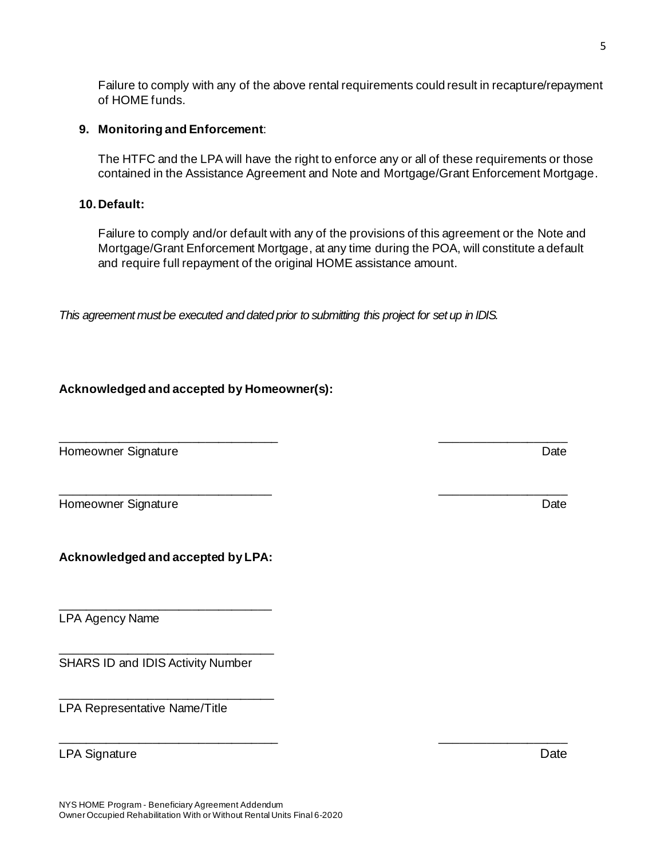Failure to comply with any of the above rental requirements could result in recapture/repayment of HOME funds.

#### **9. Monitoring and Enforcement**:

The HTFC and the LPA will have the right to enforce any or all of these requirements or those contained in the Assistance Agreement and Note and Mortgage/Grant Enforcement Mortgage.

#### **10. Default:**

Failure to comply and/or default with any of the provisions of this agreement or the Note and Mortgage/Grant Enforcement Mortgage, at any time during the POA, will constitute a default and require full repayment of the original HOME assistance amount.

*This agreement must be executed and dated prior to submitting this project for set up in IDIS.*

\_\_\_\_\_\_\_\_\_\_\_\_\_\_\_\_\_\_\_\_\_\_\_\_\_\_\_\_\_\_\_\_\_ \_\_\_\_\_\_\_\_\_\_\_\_\_\_\_\_\_\_\_

\_\_\_\_\_\_\_\_\_\_\_\_\_\_\_\_\_\_\_\_\_\_\_\_\_\_\_\_\_\_\_\_\_ \_\_\_\_\_\_\_\_\_\_\_\_\_\_\_\_\_\_\_

# **Acknowledged and accepted by Homeowner(s):**

Homeowner Signature **Date** Date of the United States of the United States of the United States of the United States of the United States of the United States of the United States of the United States of the United States o

Homeowner Signature Date

**Acknowledged and accepted by LPA:**

\_\_\_\_\_\_\_\_\_\_\_\_\_\_\_\_\_\_\_\_\_\_\_\_\_\_\_\_\_\_\_\_

\_\_\_\_\_\_\_\_\_\_\_\_\_\_\_\_\_\_\_\_\_\_\_\_\_\_\_\_\_\_\_\_

\_\_\_\_\_\_\_\_\_\_\_\_\_\_\_\_\_\_\_\_\_\_\_\_\_\_\_\_\_\_\_\_

LPA Agency Name

SHARS ID and IDIS Activity Number

LPA Representative Name/Title

LPA Signature Date Date of the United States of the United States of the United States of the Date Date of the U

\_\_\_\_\_\_\_\_\_\_\_\_\_\_\_\_\_\_\_\_\_\_\_\_\_\_\_\_\_\_\_\_ \_\_\_\_\_\_\_\_\_\_\_\_\_\_\_\_\_\_\_